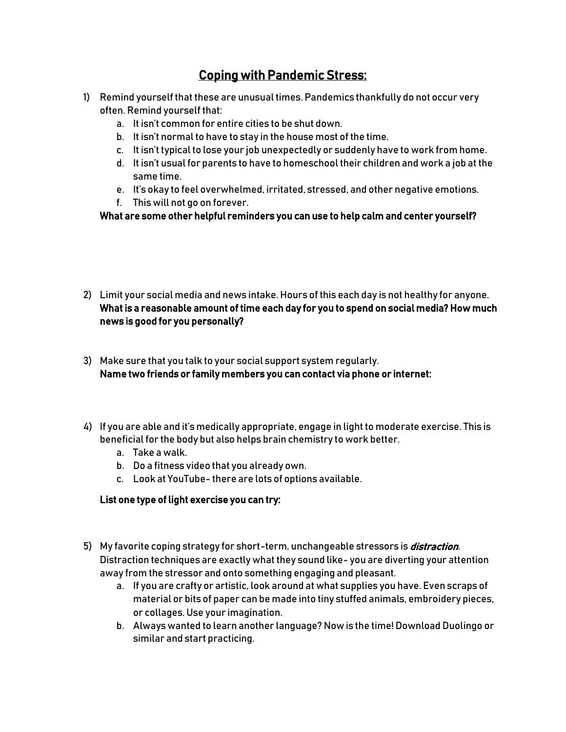## Coping with Pandemic Stress:

- 1) Remind yourself that these are unusual times. Pandemics thankfully do not occur very often. Remind yourself that:
	- a. It isn't common for entire cities to be shut down.
	- b. It isn't normal to have to stay in the house most of the time.
	- c. It isn't typical to lose your job unexpectedly or suddenly have to work from home.
	- d. It isn't usual for parents to have to homeschool their children and work a job at the same time.
	- e. It's okay to feel overwhelmed, irritated, stressed, and other negative emotions.
	- f. This will not go on forever.

What are some other helpful reminders you can use to help calm and center yourself?

- 2) Limit your social media and news intake. Hours of this each day is not healthy for anyone. What is a reasonable amount of time each day for you to spend on social media? How much news is good for you personally?
- 3) Make sure that you talk to your social support system regularly. Name two friends or family members you can contact via phone or internet:
- 4) If you are able and it's medically appropriate, engage in light to moderate exercise. This is beneficial for the body but also helps brain chemistry to work better.
	- a. Take a walk.
	- b. Do a fitness video that you already own.
	- c. Look at YouTube- there are lots of options available.

## List one type of light exercise you can try:

- 5) My favorite coping strategy for short-term, unchangeable stressors is *distraction*. Distraction techniques are exactly what they sound like- you are diverting your attention away from the stressor and onto something engaging and pleasant.
	- a. If you are crafty or artistic, look around at what supplies you have. Even scraps of material or bits of paper can be made into tiny stuffed animals, embroidery pieces, or collages. Use your imagination.
	- b. Always wanted to learn another language? Now is the time! Download Duolingo or similar and start practicing.